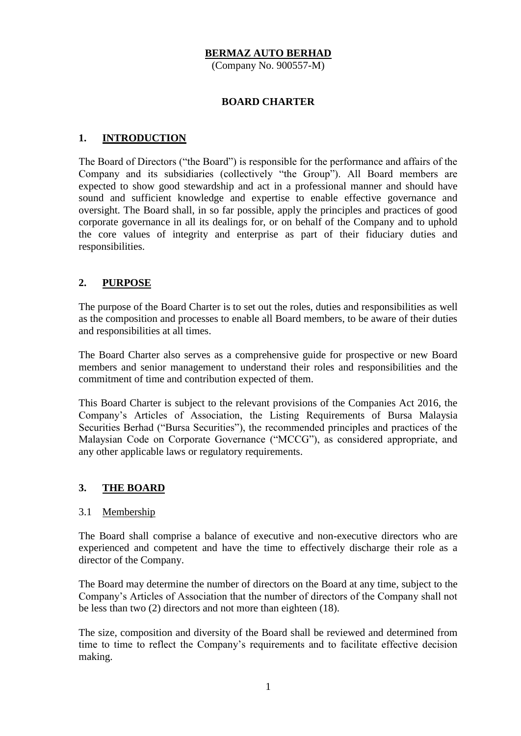### **BERMAZ AUTO BERHAD**

(Company No. 900557-M)

#### **BOARD CHARTER**

### **1. INTRODUCTION**

The Board of Directors ("the Board") is responsible for the performance and affairs of the Company and its subsidiaries (collectively "the Group"). All Board members are expected to show good stewardship and act in a professional manner and should have sound and sufficient knowledge and expertise to enable effective governance and oversight. The Board shall, in so far possible, apply the principles and practices of good corporate governance in all its dealings for, or on behalf of the Company and to uphold the core values of integrity and enterprise as part of their fiduciary duties and responsibilities.

## **2. PURPOSE**

The purpose of the Board Charter is to set out the roles, duties and responsibilities as well as the composition and processes to enable all Board members, to be aware of their duties and responsibilities at all times.

The Board Charter also serves as a comprehensive guide for prospective or new Board members and senior management to understand their roles and responsibilities and the commitment of time and contribution expected of them.

This Board Charter is subject to the relevant provisions of the Companies Act 2016, the Company's Articles of Association, the Listing Requirements of Bursa Malaysia Securities Berhad ("Bursa Securities"), the recommended principles and practices of the Malaysian Code on Corporate Governance ("MCCG"), as considered appropriate, and any other applicable laws or regulatory requirements.

## **3. THE BOARD**

#### 3.1 Membership

The Board shall comprise a balance of executive and non-executive directors who are experienced and competent and have the time to effectively discharge their role as a director of the Company.

The Board may determine the number of directors on the Board at any time, subject to the Company's Articles of Association that the number of directors of the Company shall not be less than two (2) directors and not more than eighteen (18).

The size, composition and diversity of the Board shall be reviewed and determined from time to time to reflect the Company's requirements and to facilitate effective decision making.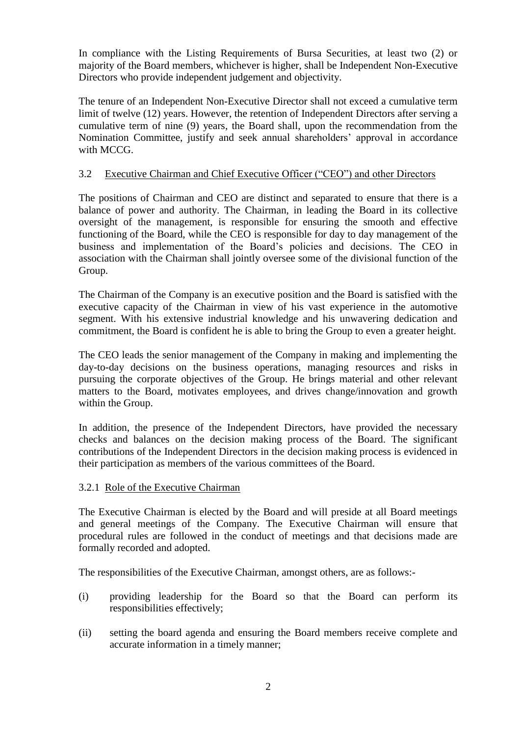In compliance with the Listing Requirements of Bursa Securities, at least two (2) or majority of the Board members, whichever is higher, shall be Independent Non-Executive Directors who provide independent judgement and objectivity.

The tenure of an Independent Non-Executive Director shall not exceed a cumulative term limit of twelve (12) years. However, the retention of Independent Directors after serving a cumulative term of nine (9) years, the Board shall, upon the recommendation from the Nomination Committee, justify and seek annual shareholders' approval in accordance with MCCG.

### 3.2 Executive Chairman and Chief Executive Officer ("CEO") and other Directors

The positions of Chairman and CEO are distinct and separated to ensure that there is a balance of power and authority. The Chairman, in leading the Board in its collective oversight of the management, is responsible for ensuring the smooth and effective functioning of the Board, while the CEO is responsible for day to day management of the business and implementation of the Board's policies and decisions. The CEO in association with the Chairman shall jointly oversee some of the divisional function of the Group.

The Chairman of the Company is an executive position and the Board is satisfied with the executive capacity of the Chairman in view of his vast experience in the automotive segment. With his extensive industrial knowledge and his unwavering dedication and commitment, the Board is confident he is able to bring the Group to even a greater height.

The CEO leads the senior management of the Company in making and implementing the day-to-day decisions on the business operations, managing resources and risks in pursuing the corporate objectives of the Group. He brings material and other relevant matters to the Board, motivates employees, and drives change/innovation and growth within the Group.

In addition, the presence of the Independent Directors, have provided the necessary checks and balances on the decision making process of the Board. The significant contributions of the Independent Directors in the decision making process is evidenced in their participation as members of the various committees of the Board.

#### 3.2.1 Role of the Executive Chairman

The Executive Chairman is elected by the Board and will preside at all Board meetings and general meetings of the Company. The Executive Chairman will ensure that procedural rules are followed in the conduct of meetings and that decisions made are formally recorded and adopted.

The responsibilities of the Executive Chairman, amongst others, are as follows:-

- (i) providing leadership for the Board so that the Board can perform its responsibilities effectively;
- (ii) setting the board agenda and ensuring the Board members receive complete and accurate information in a timely manner;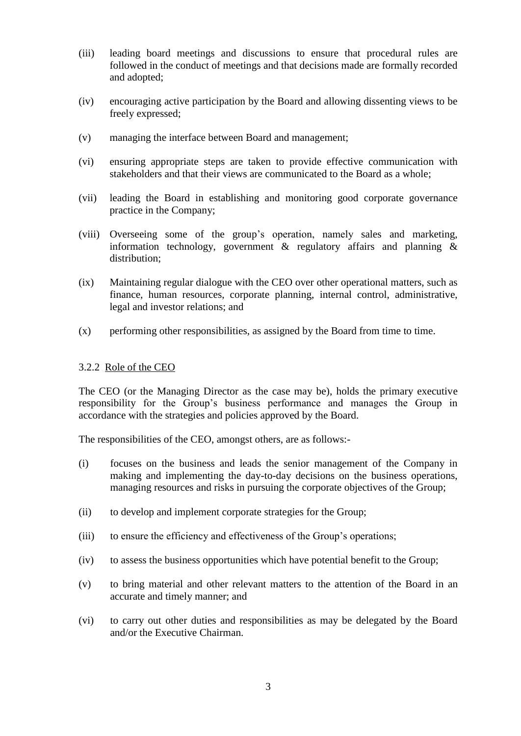- (iii) leading board meetings and discussions to ensure that procedural rules are followed in the conduct of meetings and that decisions made are formally recorded and adopted;
- (iv) encouraging active participation by the Board and allowing dissenting views to be freely expressed;
- (v) managing the interface between Board and management;
- (vi) ensuring appropriate steps are taken to provide effective communication with stakeholders and that their views are communicated to the Board as a whole;
- (vii) leading the Board in establishing and monitoring good corporate governance practice in the Company;
- (viii) Overseeing some of the group's operation, namely sales and marketing, information technology, government & regulatory affairs and planning & distribution;
- (ix) Maintaining regular dialogue with the CEO over other operational matters, such as finance, human resources, corporate planning, internal control, administrative, legal and investor relations; and
- (x) performing other responsibilities, as assigned by the Board from time to time.

#### 3.2.2 Role of the CEO

The CEO (or the Managing Director as the case may be), holds the primary executive responsibility for the Group's business performance and manages the Group in accordance with the strategies and policies approved by the Board.

The responsibilities of the CEO, amongst others, are as follows:-

- (i) focuses on the business and leads the senior management of the Company in making and implementing the day-to-day decisions on the business operations, managing resources and risks in pursuing the corporate objectives of the Group;
- (ii) to develop and implement corporate strategies for the Group;
- (iii) to ensure the efficiency and effectiveness of the Group's operations;
- (iv) to assess the business opportunities which have potential benefit to the Group;
- (v) to bring material and other relevant matters to the attention of the Board in an accurate and timely manner; and
- (vi) to carry out other duties and responsibilities as may be delegated by the Board and/or the Executive Chairman.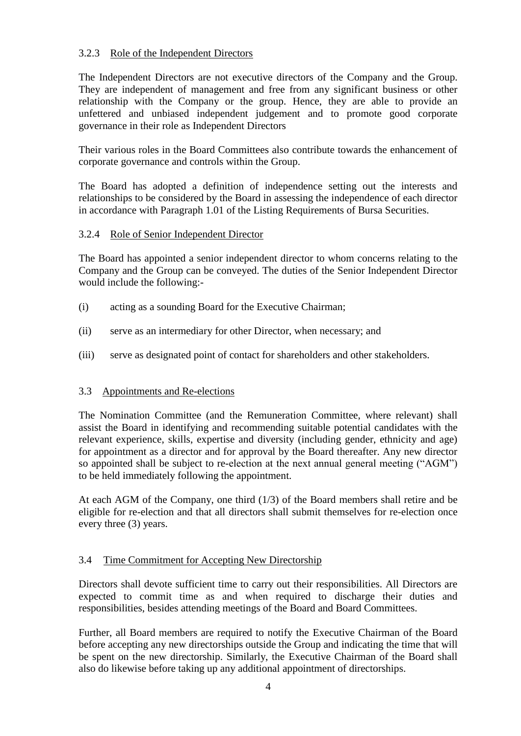## 3.2.3 Role of the Independent Directors

The Independent Directors are not executive directors of the Company and the Group. They are independent of management and free from any significant business or other relationship with the Company or the group. Hence, they are able to provide an unfettered and unbiased independent judgement and to promote good corporate governance in their role as Independent Directors

Their various roles in the Board Committees also contribute towards the enhancement of corporate governance and controls within the Group.

The Board has adopted a definition of independence setting out the interests and relationships to be considered by the Board in assessing the independence of each director in accordance with Paragraph 1.01 of the Listing Requirements of Bursa Securities.

### 3.2.4 Role of Senior Independent Director

The Board has appointed a senior independent director to whom concerns relating to the Company and the Group can be conveyed. The duties of the Senior Independent Director would include the following:-

- (i) acting as a sounding Board for the Executive Chairman;
- (ii) serve as an intermediary for other Director, when necessary; and
- (iii) serve as designated point of contact for shareholders and other stakeholders.

## 3.3 Appointments and Re-elections

The Nomination Committee (and the Remuneration Committee, where relevant) shall assist the Board in identifying and recommending suitable potential candidates with the relevant experience, skills, expertise and diversity (including gender, ethnicity and age) for appointment as a director and for approval by the Board thereafter. Any new director so appointed shall be subject to re-election at the next annual general meeting ("AGM") to be held immediately following the appointment.

At each AGM of the Company, one third (1/3) of the Board members shall retire and be eligible for re-election and that all directors shall submit themselves for re-election once every three (3) years.

### 3.4 Time Commitment for Accepting New Directorship

Directors shall devote sufficient time to carry out their responsibilities. All Directors are expected to commit time as and when required to discharge their duties and responsibilities, besides attending meetings of the Board and Board Committees.

Further, all Board members are required to notify the Executive Chairman of the Board before accepting any new directorships outside the Group and indicating the time that will be spent on the new directorship. Similarly, the Executive Chairman of the Board shall also do likewise before taking up any additional appointment of directorships.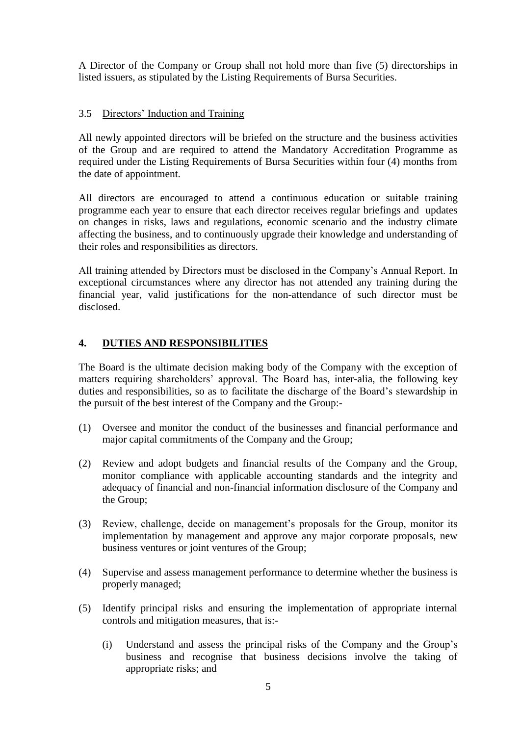A Director of the Company or Group shall not hold more than five (5) directorships in listed issuers, as stipulated by the Listing Requirements of Bursa Securities.

## 3.5 Directors' Induction and Training

All newly appointed directors will be briefed on the structure and the business activities of the Group and are required to attend the Mandatory Accreditation Programme as required under the Listing Requirements of Bursa Securities within four (4) months from the date of appointment.

All directors are encouraged to attend a continuous education or suitable training programme each year to ensure that each director receives regular briefings and updates on changes in risks, laws and regulations, economic scenario and the industry climate affecting the business, and to continuously upgrade their knowledge and understanding of their roles and responsibilities as directors.

All training attended by Directors must be disclosed in the Company's Annual Report. In exceptional circumstances where any director has not attended any training during the financial year, valid justifications for the non-attendance of such director must be disclosed.

# **4. DUTIES AND RESPONSIBILITIES**

The Board is the ultimate decision making body of the Company with the exception of matters requiring shareholders' approval. The Board has, inter-alia, the following key duties and responsibilities, so as to facilitate the discharge of the Board's stewardship in the pursuit of the best interest of the Company and the Group:-

- (1) Oversee and monitor the conduct of the businesses and financial performance and major capital commitments of the Company and the Group;
- (2) Review and adopt budgets and financial results of the Company and the Group, monitor compliance with applicable accounting standards and the integrity and adequacy of financial and non-financial information disclosure of the Company and the Group;
- (3) Review, challenge, decide on management's proposals for the Group, monitor its implementation by management and approve any major corporate proposals, new business ventures or joint ventures of the Group;
- (4) Supervise and assess management performance to determine whether the business is properly managed;
- (5) Identify principal risks and ensuring the implementation of appropriate internal controls and mitigation measures, that is:-
	- (i) Understand and assess the principal risks of the Company and the Group's business and recognise that business decisions involve the taking of appropriate risks; and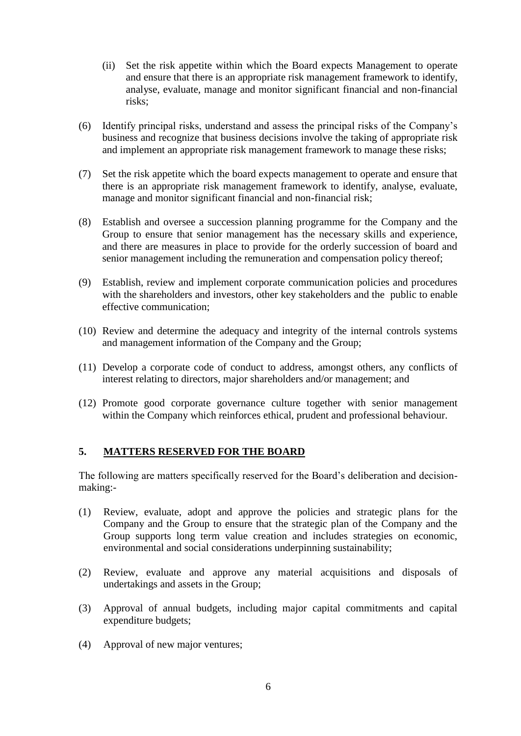- (ii) Set the risk appetite within which the Board expects Management to operate and ensure that there is an appropriate risk management framework to identify, analyse, evaluate, manage and monitor significant financial and non-financial risks;
- (6) Identify principal risks, understand and assess the principal risks of the Company's business and recognize that business decisions involve the taking of appropriate risk and implement an appropriate risk management framework to manage these risks;
- (7) Set the risk appetite which the board expects management to operate and ensure that there is an appropriate risk management framework to identify, analyse, evaluate, manage and monitor significant financial and non-financial risk;
- (8) Establish and oversee a succession planning programme for the Company and the Group to ensure that senior management has the necessary skills and experience, and there are measures in place to provide for the orderly succession of board and senior management including the remuneration and compensation policy thereof;
- (9) Establish, review and implement corporate communication policies and procedures with the shareholders and investors, other key stakeholders and the public to enable effective communication;
- (10) Review and determine the adequacy and integrity of the internal controls systems and management information of the Company and the Group;
- (11) Develop a corporate code of conduct to address, amongst others, any conflicts of interest relating to directors, major shareholders and/or management; and
- (12) Promote good corporate governance culture together with senior management within the Company which reinforces ethical, prudent and professional behaviour.

## **5. MATTERS RESERVED FOR THE BOARD**

The following are matters specifically reserved for the Board's deliberation and decisionmaking:-

- (1) Review, evaluate, adopt and approve the policies and strategic plans for the Company and the Group to ensure that the strategic plan of the Company and the Group supports long term value creation and includes strategies on economic, environmental and social considerations underpinning sustainability;
- (2) Review, evaluate and approve any material acquisitions and disposals of undertakings and assets in the Group;
- (3) Approval of annual budgets, including major capital commitments and capital expenditure budgets;
- (4) Approval of new major ventures;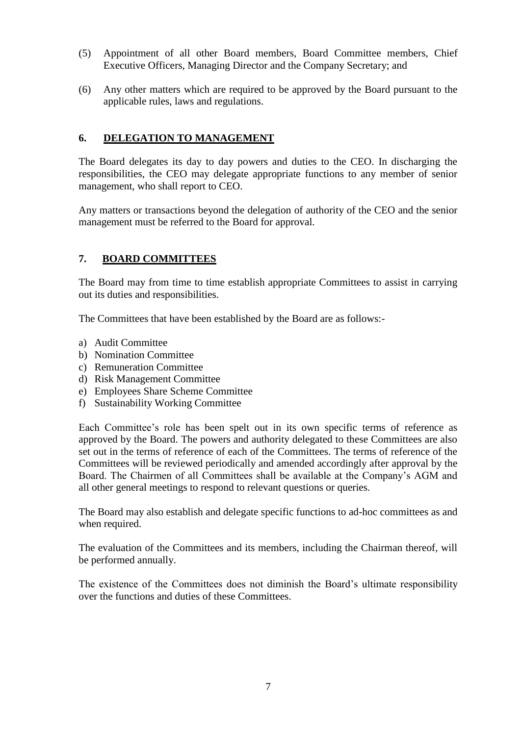- (5) Appointment of all other Board members, Board Committee members, Chief Executive Officers, Managing Director and the Company Secretary; and
- (6) Any other matters which are required to be approved by the Board pursuant to the applicable rules, laws and regulations.

## **6. DELEGATION TO MANAGEMENT**

The Board delegates its day to day powers and duties to the CEO. In discharging the responsibilities, the CEO may delegate appropriate functions to any member of senior management, who shall report to CEO.

Any matters or transactions beyond the delegation of authority of the CEO and the senior management must be referred to the Board for approval.

# **7. BOARD COMMITTEES**

The Board may from time to time establish appropriate Committees to assist in carrying out its duties and responsibilities.

The Committees that have been established by the Board are as follows:-

- a) Audit Committee
- b) Nomination Committee
- c) Remuneration Committee
- d) Risk Management Committee
- e) Employees Share Scheme Committee
- f) Sustainability Working Committee

Each Committee's role has been spelt out in its own specific terms of reference as approved by the Board. The powers and authority delegated to these Committees are also set out in the terms of reference of each of the Committees. The terms of reference of the Committees will be reviewed periodically and amended accordingly after approval by the Board. The Chairmen of all Committees shall be available at the Company's AGM and all other general meetings to respond to relevant questions or queries.

The Board may also establish and delegate specific functions to ad-hoc committees as and when required.

The evaluation of the Committees and its members, including the Chairman thereof, will be performed annually.

The existence of the Committees does not diminish the Board's ultimate responsibility over the functions and duties of these Committees.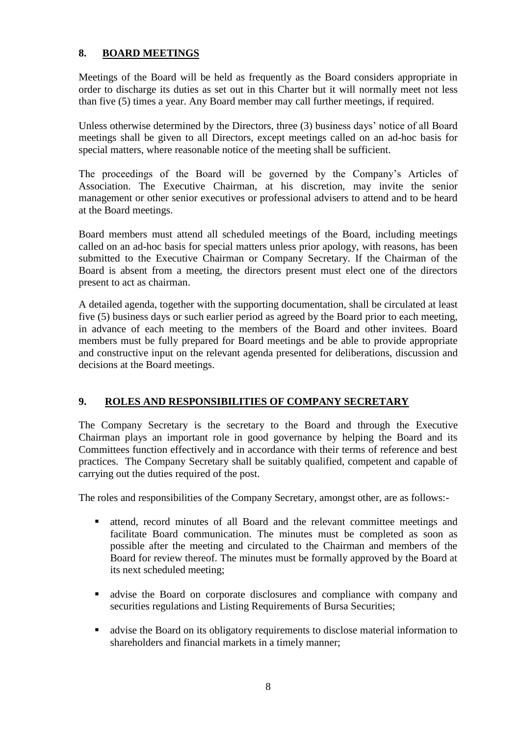# **8. BOARD MEETINGS**

Meetings of the Board will be held as frequently as the Board considers appropriate in order to discharge its duties as set out in this Charter but it will normally meet not less than five (5) times a year. Any Board member may call further meetings, if required.

Unless otherwise determined by the Directors, three (3) business days' notice of all Board meetings shall be given to all Directors, except meetings called on an ad-hoc basis for special matters, where reasonable notice of the meeting shall be sufficient.

The proceedings of the Board will be governed by the Company's Articles of Association. The Executive Chairman, at his discretion, may invite the senior management or other senior executives or professional advisers to attend and to be heard at the Board meetings.

Board members must attend all scheduled meetings of the Board, including meetings called on an ad-hoc basis for special matters unless prior apology, with reasons, has been submitted to the Executive Chairman or Company Secretary. If the Chairman of the Board is absent from a meeting, the directors present must elect one of the directors present to act as chairman.

A detailed agenda, together with the supporting documentation, shall be circulated at least five (5) business days or such earlier period as agreed by the Board prior to each meeting, in advance of each meeting to the members of the Board and other invitees. Board members must be fully prepared for Board meetings and be able to provide appropriate and constructive input on the relevant agenda presented for deliberations, discussion and decisions at the Board meetings.

# **9. ROLES AND RESPONSIBILITIES OF COMPANY SECRETARY**

The Company Secretary is the secretary to the Board and through the Executive Chairman plays an important role in good governance by helping the Board and its Committees function effectively and in accordance with their terms of reference and best practices. The Company Secretary shall be suitably qualified, competent and capable of carrying out the duties required of the post.

The roles and responsibilities of the Company Secretary, amongst other, are as follows:-

- attend, record minutes of all Board and the relevant committee meetings and facilitate Board communication. The minutes must be completed as soon as possible after the meeting and circulated to the Chairman and members of the Board for review thereof. The minutes must be formally approved by the Board at its next scheduled meeting;
- advise the Board on corporate disclosures and compliance with company and securities regulations and Listing Requirements of Bursa Securities;
- advise the Board on its obligatory requirements to disclose material information to shareholders and financial markets in a timely manner;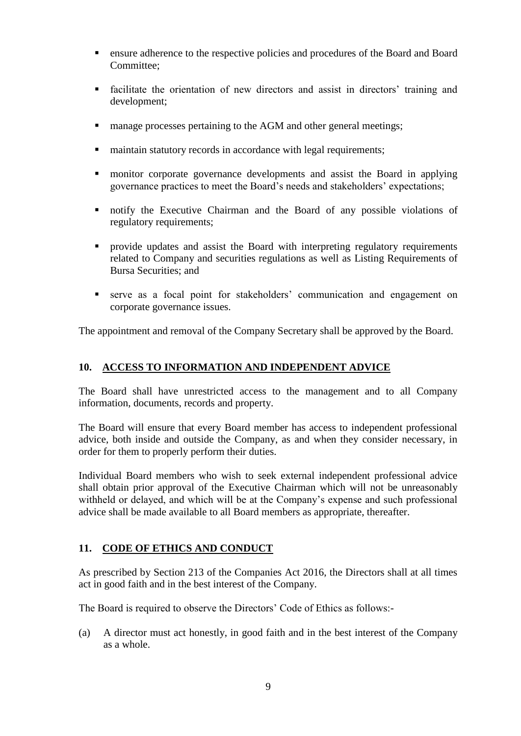- ensure adherence to the respective policies and procedures of the Board and Board Committee;
- facilitate the orientation of new directors and assist in directors' training and development;
- **n** manage processes pertaining to the AGM and other general meetings;
- maintain statutory records in accordance with legal requirements;
- monitor corporate governance developments and assist the Board in applying governance practices to meet the Board's needs and stakeholders' expectations;
- notify the Executive Chairman and the Board of any possible violations of regulatory requirements;
- provide updates and assist the Board with interpreting regulatory requirements related to Company and securities regulations as well as Listing Requirements of Bursa Securities; and
- serve as a focal point for stakeholders' communication and engagement on corporate governance issues.

The appointment and removal of the Company Secretary shall be approved by the Board.

### **10. ACCESS TO INFORMATION AND INDEPENDENT ADVICE**

The Board shall have unrestricted access to the management and to all Company information, documents, records and property.

The Board will ensure that every Board member has access to independent professional advice, both inside and outside the Company, as and when they consider necessary, in order for them to properly perform their duties.

Individual Board members who wish to seek external independent professional advice shall obtain prior approval of the Executive Chairman which will not be unreasonably withheld or delayed, and which will be at the Company's expense and such professional advice shall be made available to all Board members as appropriate, thereafter.

## **11. CODE OF ETHICS AND CONDUCT**

As prescribed by Section 213 of the Companies Act 2016, the Directors shall at all times act in good faith and in the best interest of the Company.

The Board is required to observe the Directors' Code of Ethics as follows:-

(a) A director must act honestly, in good faith and in the best interest of the Company as a whole.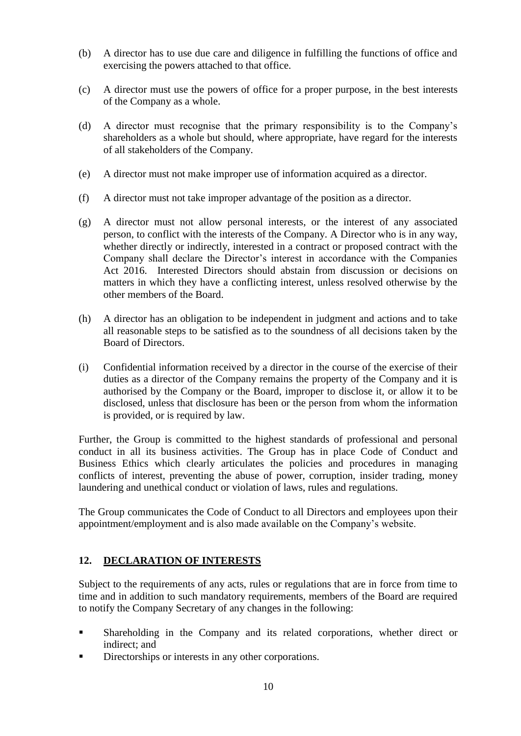- (b) A director has to use due care and diligence in fulfilling the functions of office and exercising the powers attached to that office.
- (c) A director must use the powers of office for a proper purpose, in the best interests of the Company as a whole.
- (d) A director must recognise that the primary responsibility is to the Company's shareholders as a whole but should, where appropriate, have regard for the interests of all stakeholders of the Company.
- (e) A director must not make improper use of information acquired as a director.
- (f) A director must not take improper advantage of the position as a director.
- (g) A director must not allow personal interests, or the interest of any associated person, to conflict with the interests of the Company. A Director who is in any way, whether directly or indirectly, interested in a contract or proposed contract with the Company shall declare the Director's interest in accordance with the Companies Act 2016. Interested Directors should abstain from discussion or decisions on matters in which they have a conflicting interest, unless resolved otherwise by the other members of the Board.
- (h) A director has an obligation to be independent in judgment and actions and to take all reasonable steps to be satisfied as to the soundness of all decisions taken by the Board of Directors.
- (i) Confidential information received by a director in the course of the exercise of their duties as a director of the Company remains the property of the Company and it is authorised by the Company or the Board, improper to disclose it, or allow it to be disclosed, unless that disclosure has been or the person from whom the information is provided, or is required by law.

Further, the Group is committed to the highest standards of professional and personal conduct in all its business activities. The Group has in place Code of Conduct and Business Ethics which clearly articulates the policies and procedures in managing conflicts of interest, preventing the abuse of power, corruption, insider trading, money laundering and unethical conduct or violation of laws, rules and regulations.

The Group communicates the Code of Conduct to all Directors and employees upon their appointment/employment and is also made available on the Company's website.

# **12. DECLARATION OF INTERESTS**

Subject to the requirements of any acts, rules or regulations that are in force from time to time and in addition to such mandatory requirements, members of the Board are required to notify the Company Secretary of any changes in the following:

- Shareholding in the Company and its related corporations, whether direct or indirect; and
- Directorships or interests in any other corporations.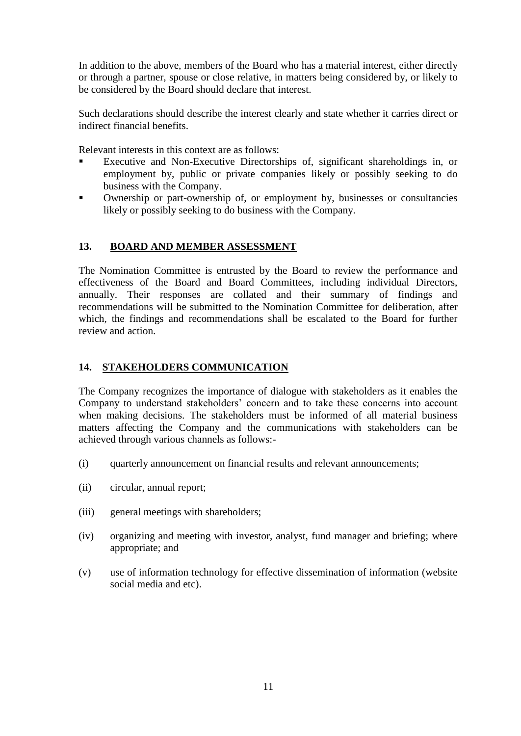In addition to the above, members of the Board who has a material interest, either directly or through a partner, spouse or close relative, in matters being considered by, or likely to be considered by the Board should declare that interest.

Such declarations should describe the interest clearly and state whether it carries direct or indirect financial benefits.

Relevant interests in this context are as follows:

- Executive and Non-Executive Directorships of, significant shareholdings in, or employment by, public or private companies likely or possibly seeking to do business with the Company.
- Ownership or part-ownership of, or employment by, businesses or consultancies likely or possibly seeking to do business with the Company.

## **13. BOARD AND MEMBER ASSESSMENT**

The Nomination Committee is entrusted by the Board to review the performance and effectiveness of the Board and Board Committees, including individual Directors, annually. Their responses are collated and their summary of findings and recommendations will be submitted to the Nomination Committee for deliberation, after which, the findings and recommendations shall be escalated to the Board for further review and action.

## **14. STAKEHOLDERS COMMUNICATION**

The Company recognizes the importance of dialogue with stakeholders as it enables the Company to understand stakeholders' concern and to take these concerns into account when making decisions. The stakeholders must be informed of all material business matters affecting the Company and the communications with stakeholders can be achieved through various channels as follows:-

- (i) quarterly announcement on financial results and relevant announcements;
- (ii) circular, annual report;
- (iii) general meetings with shareholders;
- (iv) organizing and meeting with investor, analyst, fund manager and briefing; where appropriate; and
- (v) use of information technology for effective dissemination of information (website social media and etc).